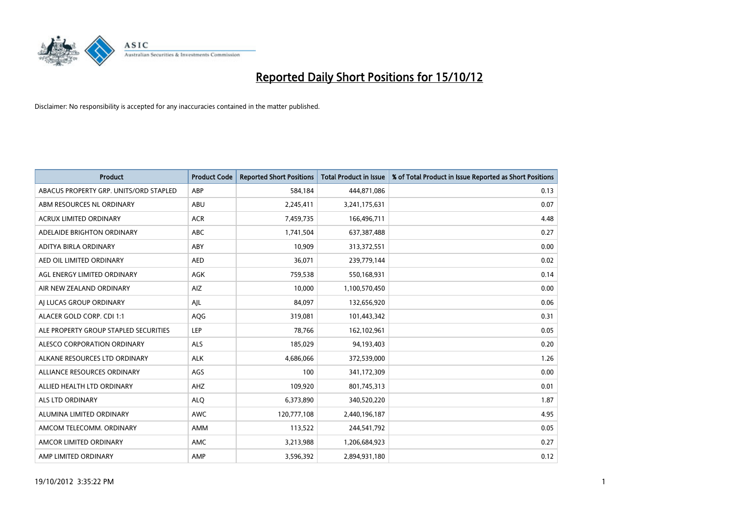

| <b>Product</b>                         | <b>Product Code</b> | <b>Reported Short Positions</b> | <b>Total Product in Issue</b> | % of Total Product in Issue Reported as Short Positions |
|----------------------------------------|---------------------|---------------------------------|-------------------------------|---------------------------------------------------------|
| ABACUS PROPERTY GRP. UNITS/ORD STAPLED | ABP                 | 584,184                         | 444,871,086                   | 0.13                                                    |
| ABM RESOURCES NL ORDINARY              | ABU                 | 2,245,411                       | 3,241,175,631                 | 0.07                                                    |
| <b>ACRUX LIMITED ORDINARY</b>          | <b>ACR</b>          | 7,459,735                       | 166,496,711                   | 4.48                                                    |
| ADELAIDE BRIGHTON ORDINARY             | <b>ABC</b>          | 1,741,504                       | 637,387,488                   | 0.27                                                    |
| <b>ADITYA BIRLA ORDINARY</b>           | ABY                 | 10,909                          | 313,372,551                   | 0.00                                                    |
| AED OIL LIMITED ORDINARY               | <b>AED</b>          | 36,071                          | 239,779,144                   | 0.02                                                    |
| AGL ENERGY LIMITED ORDINARY            | AGK                 | 759,538                         | 550,168,931                   | 0.14                                                    |
| AIR NEW ZEALAND ORDINARY               | AIZ                 | 10,000                          | 1,100,570,450                 | 0.00                                                    |
| AI LUCAS GROUP ORDINARY                | AJL                 | 84,097                          | 132,656,920                   | 0.06                                                    |
| ALACER GOLD CORP. CDI 1:1              | AQG                 | 319,081                         | 101,443,342                   | 0.31                                                    |
| ALE PROPERTY GROUP STAPLED SECURITIES  | LEP                 | 78,766                          | 162,102,961                   | 0.05                                                    |
| <b>ALESCO CORPORATION ORDINARY</b>     | <b>ALS</b>          | 185,029                         | 94,193,403                    | 0.20                                                    |
| ALKANE RESOURCES LTD ORDINARY          | <b>ALK</b>          | 4,686,066                       | 372,539,000                   | 1.26                                                    |
| ALLIANCE RESOURCES ORDINARY            | AGS                 | 100                             | 341,172,309                   | 0.00                                                    |
| ALLIED HEALTH LTD ORDINARY             | AHZ                 | 109,920                         | 801,745,313                   | 0.01                                                    |
| ALS LTD ORDINARY                       | <b>ALO</b>          | 6,373,890                       | 340,520,220                   | 1.87                                                    |
| ALUMINA LIMITED ORDINARY               | <b>AWC</b>          | 120,777,108                     | 2,440,196,187                 | 4.95                                                    |
| AMCOM TELECOMM. ORDINARY               | <b>AMM</b>          | 113,522                         | 244,541,792                   | 0.05                                                    |
| AMCOR LIMITED ORDINARY                 | AMC                 | 3,213,988                       | 1,206,684,923                 | 0.27                                                    |
| AMP LIMITED ORDINARY                   | AMP                 | 3,596,392                       | 2,894,931,180                 | 0.12                                                    |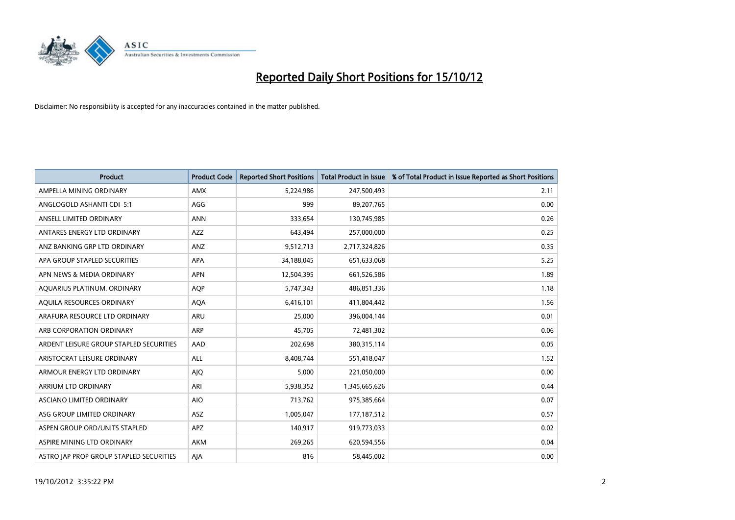

| <b>Product</b>                          | <b>Product Code</b> | <b>Reported Short Positions</b> | <b>Total Product in Issue</b> | % of Total Product in Issue Reported as Short Positions |
|-----------------------------------------|---------------------|---------------------------------|-------------------------------|---------------------------------------------------------|
| AMPELLA MINING ORDINARY                 | <b>AMX</b>          | 5,224,986                       | 247,500,493                   | 2.11                                                    |
| ANGLOGOLD ASHANTI CDI 5:1               | AGG                 | 999                             | 89,207,765                    | 0.00                                                    |
| ANSELL LIMITED ORDINARY                 | <b>ANN</b>          | 333,654                         | 130,745,985                   | 0.26                                                    |
| ANTARES ENERGY LTD ORDINARY             | <b>AZZ</b>          | 643,494                         | 257,000,000                   | 0.25                                                    |
| ANZ BANKING GRP LTD ORDINARY            | ANZ                 | 9,512,713                       | 2,717,324,826                 | 0.35                                                    |
| APA GROUP STAPLED SECURITIES            | <b>APA</b>          | 34,188,045                      | 651,633,068                   | 5.25                                                    |
| APN NEWS & MEDIA ORDINARY               | <b>APN</b>          | 12,504,395                      | 661,526,586                   | 1.89                                                    |
| AQUARIUS PLATINUM. ORDINARY             | <b>AOP</b>          | 5,747,343                       | 486,851,336                   | 1.18                                                    |
| AQUILA RESOURCES ORDINARY               | <b>AQA</b>          | 6,416,101                       | 411,804,442                   | 1.56                                                    |
| ARAFURA RESOURCE LTD ORDINARY           | <b>ARU</b>          | 25,000                          | 396,004,144                   | 0.01                                                    |
| ARB CORPORATION ORDINARY                | <b>ARP</b>          | 45,705                          | 72,481,302                    | 0.06                                                    |
| ARDENT LEISURE GROUP STAPLED SECURITIES | AAD                 | 202,698                         | 380,315,114                   | 0.05                                                    |
| ARISTOCRAT LEISURE ORDINARY             | ALL                 | 8,408,744                       | 551,418,047                   | 1.52                                                    |
| ARMOUR ENERGY LTD ORDINARY              | <b>AJQ</b>          | 5,000                           | 221,050,000                   | 0.00                                                    |
| ARRIUM LTD ORDINARY                     | ARI                 | 5,938,352                       | 1,345,665,626                 | 0.44                                                    |
| ASCIANO LIMITED ORDINARY                | <b>AIO</b>          | 713,762                         | 975,385,664                   | 0.07                                                    |
| ASG GROUP LIMITED ORDINARY              | ASZ                 | 1,005,047                       | 177, 187, 512                 | 0.57                                                    |
| ASPEN GROUP ORD/UNITS STAPLED           | <b>APZ</b>          | 140,917                         | 919,773,033                   | 0.02                                                    |
| ASPIRE MINING LTD ORDINARY              | <b>AKM</b>          | 269,265                         | 620,594,556                   | 0.04                                                    |
| ASTRO JAP PROP GROUP STAPLED SECURITIES | AJA                 | 816                             | 58,445,002                    | 0.00                                                    |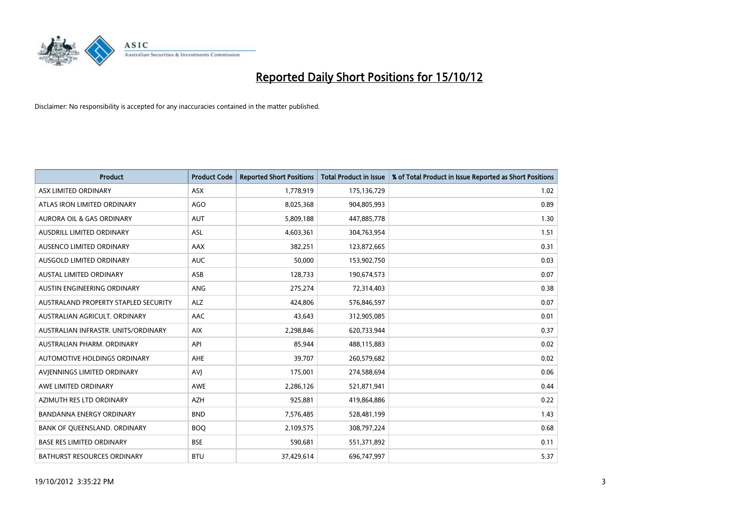

| <b>Product</b>                       | <b>Product Code</b> | <b>Reported Short Positions</b> | <b>Total Product in Issue</b> | % of Total Product in Issue Reported as Short Positions |
|--------------------------------------|---------------------|---------------------------------|-------------------------------|---------------------------------------------------------|
| ASX LIMITED ORDINARY                 | <b>ASX</b>          | 1,778,919                       | 175,136,729                   | 1.02                                                    |
| ATLAS IRON LIMITED ORDINARY          | AGO                 | 8,025,368                       | 904,805,993                   | 0.89                                                    |
| <b>AURORA OIL &amp; GAS ORDINARY</b> | <b>AUT</b>          | 5,809,188                       | 447,885,778                   | 1.30                                                    |
| AUSDRILL LIMITED ORDINARY            | <b>ASL</b>          | 4,603,361                       | 304,763,954                   | 1.51                                                    |
| AUSENCO LIMITED ORDINARY             | AAX                 | 382,251                         | 123,872,665                   | 0.31                                                    |
| AUSGOLD LIMITED ORDINARY             | <b>AUC</b>          | 50,000                          | 153,902,750                   | 0.03                                                    |
| AUSTAL LIMITED ORDINARY              | ASB                 | 128,733                         | 190,674,573                   | 0.07                                                    |
| <b>AUSTIN ENGINEERING ORDINARY</b>   | <b>ANG</b>          | 275,274                         | 72,314,403                    | 0.38                                                    |
| AUSTRALAND PROPERTY STAPLED SECURITY | <b>ALZ</b>          | 424,806                         | 576,846,597                   | 0.07                                                    |
| AUSTRALIAN AGRICULT, ORDINARY        | AAC                 | 43,643                          | 312,905,085                   | 0.01                                                    |
| AUSTRALIAN INFRASTR. UNITS/ORDINARY  | <b>AIX</b>          | 2,298,846                       | 620,733,944                   | 0.37                                                    |
| AUSTRALIAN PHARM. ORDINARY           | API                 | 85,944                          | 488,115,883                   | 0.02                                                    |
| AUTOMOTIVE HOLDINGS ORDINARY         | <b>AHE</b>          | 39,707                          | 260,579,682                   | 0.02                                                    |
| AVIENNINGS LIMITED ORDINARY          | AVI                 | 175,001                         | 274,588,694                   | 0.06                                                    |
| AWE LIMITED ORDINARY                 | <b>AWE</b>          | 2,286,126                       | 521,871,941                   | 0.44                                                    |
| AZIMUTH RES LTD ORDINARY             | <b>AZH</b>          | 925,881                         | 419,864,886                   | 0.22                                                    |
| BANDANNA ENERGY ORDINARY             | <b>BND</b>          | 7,576,485                       | 528,481,199                   | 1.43                                                    |
| BANK OF QUEENSLAND. ORDINARY         | <b>BOQ</b>          | 2,109,575                       | 308,797,224                   | 0.68                                                    |
| <b>BASE RES LIMITED ORDINARY</b>     | <b>BSE</b>          | 590,681                         | 551,371,892                   | 0.11                                                    |
| <b>BATHURST RESOURCES ORDINARY</b>   | <b>BTU</b>          | 37,429,614                      | 696,747,997                   | 5.37                                                    |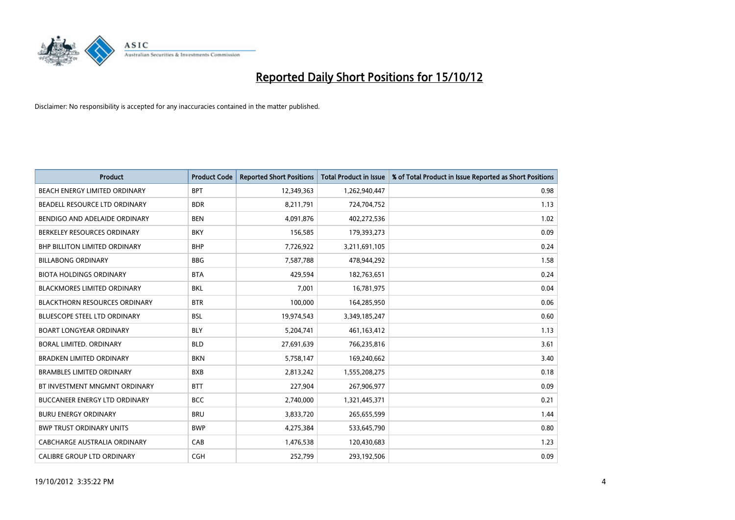

| <b>Product</b>                       | <b>Product Code</b> | <b>Reported Short Positions</b> | <b>Total Product in Issue</b> | % of Total Product in Issue Reported as Short Positions |
|--------------------------------------|---------------------|---------------------------------|-------------------------------|---------------------------------------------------------|
| BEACH ENERGY LIMITED ORDINARY        | <b>BPT</b>          | 12,349,363                      | 1,262,940,447                 | 0.98                                                    |
| BEADELL RESOURCE LTD ORDINARY        | <b>BDR</b>          | 8,211,791                       | 724,704,752                   | 1.13                                                    |
| BENDIGO AND ADELAIDE ORDINARY        | <b>BEN</b>          | 4,091,876                       | 402,272,536                   | 1.02                                                    |
| BERKELEY RESOURCES ORDINARY          | <b>BKY</b>          | 156,585                         | 179,393,273                   | 0.09                                                    |
| BHP BILLITON LIMITED ORDINARY        | <b>BHP</b>          | 7,726,922                       | 3,211,691,105                 | 0.24                                                    |
| <b>BILLABONG ORDINARY</b>            | <b>BBG</b>          | 7,587,788                       | 478,944,292                   | 1.58                                                    |
| <b>BIOTA HOLDINGS ORDINARY</b>       | <b>BTA</b>          | 429.594                         | 182,763,651                   | 0.24                                                    |
| <b>BLACKMORES LIMITED ORDINARY</b>   | <b>BKL</b>          | 7,001                           | 16,781,975                    | 0.04                                                    |
| <b>BLACKTHORN RESOURCES ORDINARY</b> | <b>BTR</b>          | 100,000                         | 164,285,950                   | 0.06                                                    |
| <b>BLUESCOPE STEEL LTD ORDINARY</b>  | <b>BSL</b>          | 19,974,543                      | 3,349,185,247                 | 0.60                                                    |
| <b>BOART LONGYEAR ORDINARY</b>       | <b>BLY</b>          | 5,204,741                       | 461,163,412                   | 1.13                                                    |
| BORAL LIMITED, ORDINARY              | <b>BLD</b>          | 27,691,639                      | 766,235,816                   | 3.61                                                    |
| <b>BRADKEN LIMITED ORDINARY</b>      | <b>BKN</b>          | 5,758,147                       | 169,240,662                   | 3.40                                                    |
| <b>BRAMBLES LIMITED ORDINARY</b>     | <b>BXB</b>          | 2,813,242                       | 1,555,208,275                 | 0.18                                                    |
| BT INVESTMENT MNGMNT ORDINARY        | <b>BTT</b>          | 227,904                         | 267,906,977                   | 0.09                                                    |
| BUCCANEER ENERGY LTD ORDINARY        | <b>BCC</b>          | 2,740,000                       | 1,321,445,371                 | 0.21                                                    |
| <b>BURU ENERGY ORDINARY</b>          | <b>BRU</b>          | 3,833,720                       | 265,655,599                   | 1.44                                                    |
| <b>BWP TRUST ORDINARY UNITS</b>      | <b>BWP</b>          | 4,275,384                       | 533,645,790                   | 0.80                                                    |
| CABCHARGE AUSTRALIA ORDINARY         | CAB                 | 1,476,538                       | 120,430,683                   | 1.23                                                    |
| <b>CALIBRE GROUP LTD ORDINARY</b>    | <b>CGH</b>          | 252.799                         | 293,192,506                   | 0.09                                                    |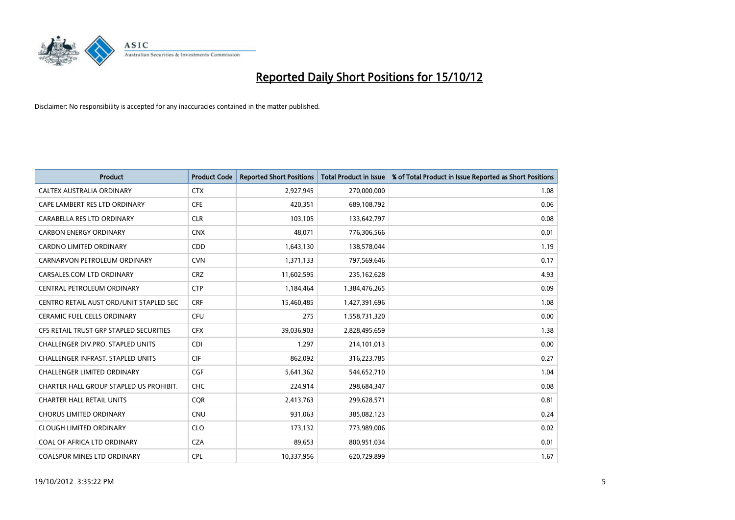

| <b>Product</b>                           | <b>Product Code</b> | <b>Reported Short Positions</b> | <b>Total Product in Issue</b> | % of Total Product in Issue Reported as Short Positions |
|------------------------------------------|---------------------|---------------------------------|-------------------------------|---------------------------------------------------------|
| CALTEX AUSTRALIA ORDINARY                | <b>CTX</b>          | 2,927,945                       | 270,000,000                   | 1.08                                                    |
| CAPE LAMBERT RES LTD ORDINARY            | <b>CFE</b>          | 420,351                         | 689,108,792                   | 0.06                                                    |
| CARABELLA RES LTD ORDINARY               | <b>CLR</b>          | 103,105                         | 133,642,797                   | 0.08                                                    |
| <b>CARBON ENERGY ORDINARY</b>            | <b>CNX</b>          | 48,071                          | 776,306,566                   | 0.01                                                    |
| <b>CARDNO LIMITED ORDINARY</b>           | <b>CDD</b>          | 1,643,130                       | 138,578,044                   | 1.19                                                    |
| CARNARVON PETROLEUM ORDINARY             | <b>CVN</b>          | 1,371,133                       | 797,569,646                   | 0.17                                                    |
| CARSALES.COM LTD ORDINARY                | <b>CRZ</b>          | 11,602,595                      | 235,162,628                   | 4.93                                                    |
| CENTRAL PETROLEUM ORDINARY               | <b>CTP</b>          | 1,184,464                       | 1,384,476,265                 | 0.09                                                    |
| CENTRO RETAIL AUST ORD/UNIT STAPLED SEC  | <b>CRF</b>          | 15,460,485                      | 1,427,391,696                 | 1.08                                                    |
| CERAMIC FUEL CELLS ORDINARY              | <b>CFU</b>          | 275                             | 1,558,731,320                 | 0.00                                                    |
| CFS RETAIL TRUST GRP STAPLED SECURITIES  | <b>CFX</b>          | 39,036,903                      | 2,828,495,659                 | 1.38                                                    |
| CHALLENGER DIV.PRO. STAPLED UNITS        | <b>CDI</b>          | 1,297                           | 214,101,013                   | 0.00                                                    |
| <b>CHALLENGER INFRAST, STAPLED UNITS</b> | <b>CIF</b>          | 862,092                         | 316,223,785                   | 0.27                                                    |
| <b>CHALLENGER LIMITED ORDINARY</b>       | <b>CGF</b>          | 5,641,362                       | 544,652,710                   | 1.04                                                    |
| CHARTER HALL GROUP STAPLED US PROHIBIT.  | <b>CHC</b>          | 224,914                         | 298,684,347                   | 0.08                                                    |
| <b>CHARTER HALL RETAIL UNITS</b>         | <b>CQR</b>          | 2,413,763                       | 299,628,571                   | 0.81                                                    |
| <b>CHORUS LIMITED ORDINARY</b>           | <b>CNU</b>          | 931,063                         | 385,082,123                   | 0.24                                                    |
| <b>CLOUGH LIMITED ORDINARY</b>           | <b>CLO</b>          | 173,132                         | 773,989,006                   | 0.02                                                    |
| COAL OF AFRICA LTD ORDINARY              | <b>CZA</b>          | 89,653                          | 800,951,034                   | 0.01                                                    |
| <b>COALSPUR MINES LTD ORDINARY</b>       | <b>CPL</b>          | 10,337,956                      | 620,729,899                   | 1.67                                                    |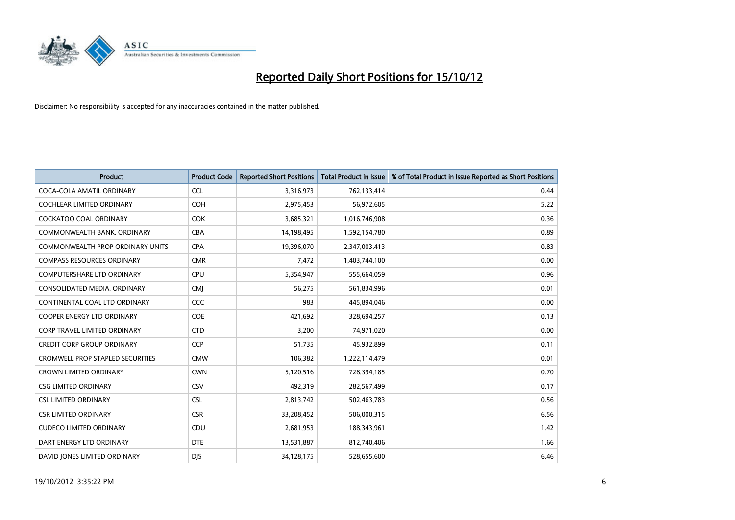

| <b>Product</b>                          | <b>Product Code</b> | <b>Reported Short Positions</b> | <b>Total Product in Issue</b> | % of Total Product in Issue Reported as Short Positions |
|-----------------------------------------|---------------------|---------------------------------|-------------------------------|---------------------------------------------------------|
| COCA-COLA AMATIL ORDINARY               | <b>CCL</b>          | 3,316,973                       | 762,133,414                   | 0.44                                                    |
| COCHLEAR LIMITED ORDINARY               | <b>COH</b>          | 2,975,453                       | 56,972,605                    | 5.22                                                    |
| COCKATOO COAL ORDINARY                  | <b>COK</b>          | 3,685,321                       | 1,016,746,908                 | 0.36                                                    |
| COMMONWEALTH BANK, ORDINARY             | CBA                 | 14,198,495                      | 1,592,154,780                 | 0.89                                                    |
| <b>COMMONWEALTH PROP ORDINARY UNITS</b> | <b>CPA</b>          | 19,396,070                      | 2,347,003,413                 | 0.83                                                    |
| <b>COMPASS RESOURCES ORDINARY</b>       | <b>CMR</b>          | 7,472                           | 1,403,744,100                 | 0.00                                                    |
| <b>COMPUTERSHARE LTD ORDINARY</b>       | CPU                 | 5,354,947                       | 555,664,059                   | 0.96                                                    |
| CONSOLIDATED MEDIA, ORDINARY            | <b>CMI</b>          | 56,275                          | 561,834,996                   | 0.01                                                    |
| CONTINENTAL COAL LTD ORDINARY           | CCC                 | 983                             | 445,894,046                   | 0.00                                                    |
| <b>COOPER ENERGY LTD ORDINARY</b>       | <b>COE</b>          | 421,692                         | 328,694,257                   | 0.13                                                    |
| <b>CORP TRAVEL LIMITED ORDINARY</b>     | <b>CTD</b>          | 3,200                           | 74,971,020                    | 0.00                                                    |
| <b>CREDIT CORP GROUP ORDINARY</b>       | <b>CCP</b>          | 51,735                          | 45,932,899                    | 0.11                                                    |
| <b>CROMWELL PROP STAPLED SECURITIES</b> | <b>CMW</b>          | 106,382                         | 1,222,114,479                 | 0.01                                                    |
| <b>CROWN LIMITED ORDINARY</b>           | <b>CWN</b>          | 5,120,516                       | 728,394,185                   | 0.70                                                    |
| <b>CSG LIMITED ORDINARY</b>             | CSV                 | 492,319                         | 282,567,499                   | 0.17                                                    |
| <b>CSL LIMITED ORDINARY</b>             | <b>CSL</b>          | 2,813,742                       | 502,463,783                   | 0.56                                                    |
| <b>CSR LIMITED ORDINARY</b>             | <b>CSR</b>          | 33,208,452                      | 506,000,315                   | 6.56                                                    |
| <b>CUDECO LIMITED ORDINARY</b>          | CDU                 | 2,681,953                       | 188,343,961                   | 1.42                                                    |
| DART ENERGY LTD ORDINARY                | <b>DTE</b>          | 13,531,887                      | 812,740,406                   | 1.66                                                    |
| DAVID JONES LIMITED ORDINARY            | <b>DIS</b>          | 34,128,175                      | 528,655,600                   | 6.46                                                    |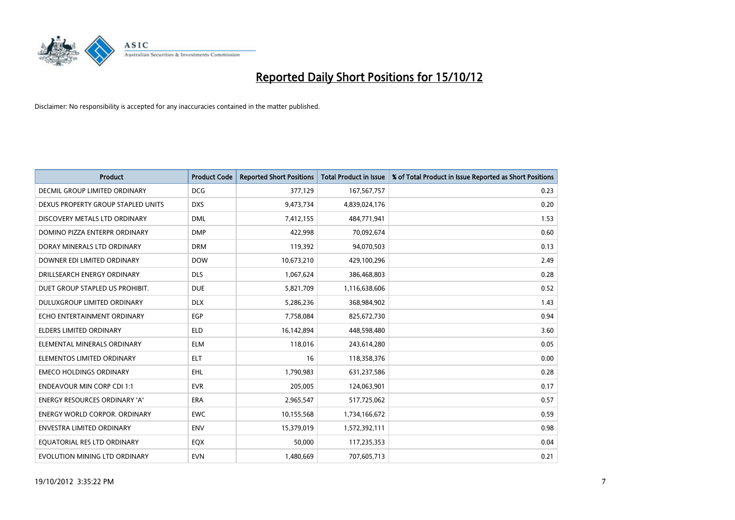

| <b>Product</b>                       | <b>Product Code</b> | <b>Reported Short Positions</b> | <b>Total Product in Issue</b> | % of Total Product in Issue Reported as Short Positions |
|--------------------------------------|---------------------|---------------------------------|-------------------------------|---------------------------------------------------------|
| <b>DECMIL GROUP LIMITED ORDINARY</b> | <b>DCG</b>          | 377,129                         | 167,567,757                   | 0.23                                                    |
| DEXUS PROPERTY GROUP STAPLED UNITS   | <b>DXS</b>          | 9,473,734                       | 4,839,024,176                 | 0.20                                                    |
| DISCOVERY METALS LTD ORDINARY        | <b>DML</b>          | 7,412,155                       | 484,771,941                   | 1.53                                                    |
| DOMINO PIZZA ENTERPR ORDINARY        | <b>DMP</b>          | 422,998                         | 70,092,674                    | 0.60                                                    |
| DORAY MINERALS LTD ORDINARY          | <b>DRM</b>          | 119,392                         | 94,070,503                    | 0.13                                                    |
| DOWNER EDI LIMITED ORDINARY          | <b>DOW</b>          | 10,673,210                      | 429,100,296                   | 2.49                                                    |
| DRILLSEARCH ENERGY ORDINARY          | <b>DLS</b>          | 1,067,624                       | 386,468,803                   | 0.28                                                    |
| DUET GROUP STAPLED US PROHIBIT.      | <b>DUE</b>          | 5,821,709                       | 1,116,638,606                 | 0.52                                                    |
| DULUXGROUP LIMITED ORDINARY          | <b>DLX</b>          | 5,286,236                       | 368,984,902                   | 1.43                                                    |
| ECHO ENTERTAINMENT ORDINARY          | <b>EGP</b>          | 7,758,084                       | 825,672,730                   | 0.94                                                    |
| <b>ELDERS LIMITED ORDINARY</b>       | <b>ELD</b>          | 16,142,894                      | 448,598,480                   | 3.60                                                    |
| ELEMENTAL MINERALS ORDINARY          | <b>ELM</b>          | 118,016                         | 243,614,280                   | 0.05                                                    |
| ELEMENTOS LIMITED ORDINARY           | <b>ELT</b>          | 16                              | 118,358,376                   | 0.00                                                    |
| <b>EMECO HOLDINGS ORDINARY</b>       | <b>EHL</b>          | 1,790,983                       | 631,237,586                   | 0.28                                                    |
| <b>ENDEAVOUR MIN CORP CDI 1:1</b>    | <b>EVR</b>          | 205,005                         | 124,063,901                   | 0.17                                                    |
| <b>ENERGY RESOURCES ORDINARY 'A'</b> | <b>ERA</b>          | 2,965,547                       | 517,725,062                   | 0.57                                                    |
| <b>ENERGY WORLD CORPOR, ORDINARY</b> | <b>EWC</b>          | 10,155,568                      | 1,734,166,672                 | 0.59                                                    |
| <b>ENVESTRA LIMITED ORDINARY</b>     | <b>ENV</b>          | 15,379,019                      | 1,572,392,111                 | 0.98                                                    |
| EOUATORIAL RES LTD ORDINARY          | EQX                 | 50,000                          | 117,235,353                   | 0.04                                                    |
| EVOLUTION MINING LTD ORDINARY        | <b>EVN</b>          | 1,480,669                       | 707,605,713                   | 0.21                                                    |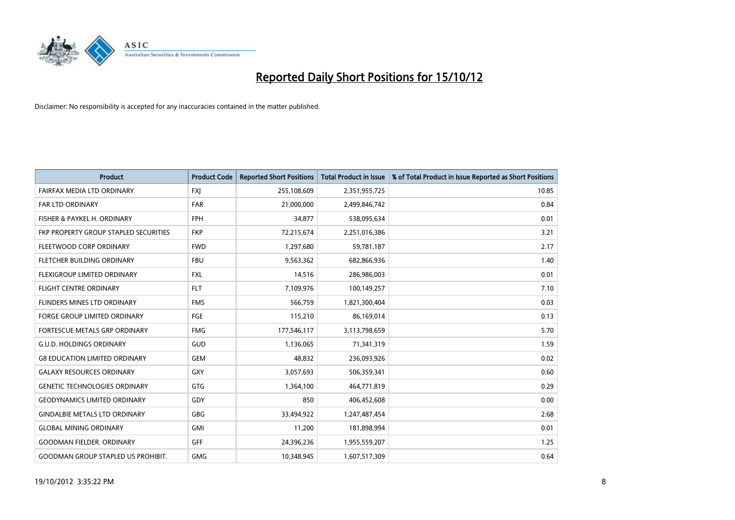

| <b>Product</b>                            | <b>Product Code</b> | <b>Reported Short Positions</b> | <b>Total Product in Issue</b> | % of Total Product in Issue Reported as Short Positions |
|-------------------------------------------|---------------------|---------------------------------|-------------------------------|---------------------------------------------------------|
| <b>FAIRFAX MEDIA LTD ORDINARY</b>         | <b>FXJ</b>          | 255,108,609                     | 2,351,955,725                 | 10.85                                                   |
| FAR LTD ORDINARY                          | <b>FAR</b>          | 21,000,000                      | 2,499,846,742                 | 0.84                                                    |
| FISHER & PAYKEL H. ORDINARY               | <b>FPH</b>          | 34,877                          | 538,095,634                   | 0.01                                                    |
| FKP PROPERTY GROUP STAPLED SECURITIES     | <b>FKP</b>          | 72,215,674                      | 2,251,016,386                 | 3.21                                                    |
| FLEETWOOD CORP ORDINARY                   | <b>FWD</b>          | 1,297,680                       | 59,781,187                    | 2.17                                                    |
| FLETCHER BUILDING ORDINARY                | <b>FBU</b>          | 9,563,362                       | 682,866,936                   | 1.40                                                    |
| <b>FLEXIGROUP LIMITED ORDINARY</b>        | <b>FXL</b>          | 14,516                          | 286,986,003                   | 0.01                                                    |
| <b>FLIGHT CENTRE ORDINARY</b>             | <b>FLT</b>          | 7,109,976                       | 100,149,257                   | 7.10                                                    |
| FLINDERS MINES LTD ORDINARY               | <b>FMS</b>          | 566,759                         | 1,821,300,404                 | 0.03                                                    |
| <b>FORGE GROUP LIMITED ORDINARY</b>       | FGE                 | 115,210                         | 86,169,014                    | 0.13                                                    |
| FORTESCUE METALS GRP ORDINARY             | <b>FMG</b>          | 177,546,117                     | 3,113,798,659                 | 5.70                                                    |
| <b>G.U.D. HOLDINGS ORDINARY</b>           | <b>GUD</b>          | 1,136,065                       | 71,341,319                    | 1.59                                                    |
| <b>G8 EDUCATION LIMITED ORDINARY</b>      | <b>GEM</b>          | 48,832                          | 236,093,926                   | 0.02                                                    |
| <b>GALAXY RESOURCES ORDINARY</b>          | <b>GXY</b>          | 3,057,693                       | 506,359,341                   | 0.60                                                    |
| <b>GENETIC TECHNOLOGIES ORDINARY</b>      | GTG                 | 1,364,100                       | 464,771,819                   | 0.29                                                    |
| <b>GEODYNAMICS LIMITED ORDINARY</b>       | GDY                 | 850                             | 406,452,608                   | 0.00                                                    |
| <b>GINDALBIE METALS LTD ORDINARY</b>      | <b>GBG</b>          | 33,494,922                      | 1,247,487,454                 | 2.68                                                    |
| <b>GLOBAL MINING ORDINARY</b>             | <b>GMI</b>          | 11,200                          | 181,898,994                   | 0.01                                                    |
| <b>GOODMAN FIELDER, ORDINARY</b>          | <b>GFF</b>          | 24,396,236                      | 1,955,559,207                 | 1.25                                                    |
| <b>GOODMAN GROUP STAPLED US PROHIBIT.</b> | <b>GMG</b>          | 10.348.945                      | 1,607,517,309                 | 0.64                                                    |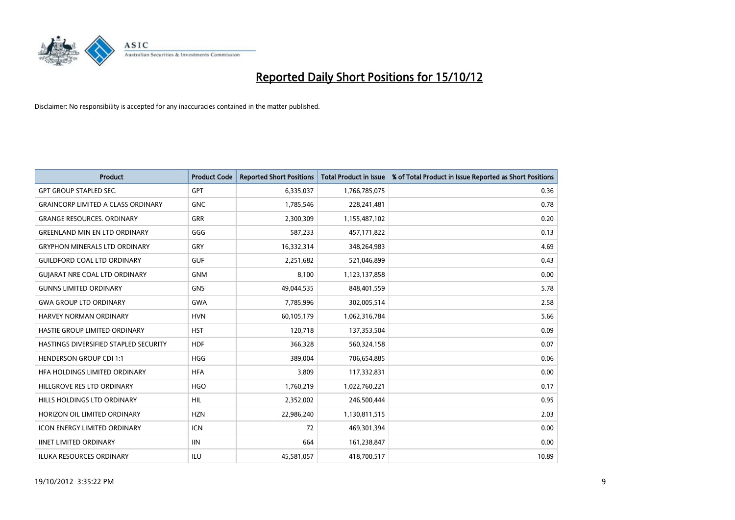

| <b>Product</b>                            | <b>Product Code</b> | <b>Reported Short Positions</b> | <b>Total Product in Issue</b> | % of Total Product in Issue Reported as Short Positions |
|-------------------------------------------|---------------------|---------------------------------|-------------------------------|---------------------------------------------------------|
| <b>GPT GROUP STAPLED SEC.</b>             | <b>GPT</b>          | 6,335,037                       | 1,766,785,075                 | 0.36                                                    |
| <b>GRAINCORP LIMITED A CLASS ORDINARY</b> | <b>GNC</b>          | 1,785,546                       | 228,241,481                   | 0.78                                                    |
| <b>GRANGE RESOURCES, ORDINARY</b>         | <b>GRR</b>          | 2,300,309                       | 1,155,487,102                 | 0.20                                                    |
| <b>GREENLAND MIN EN LTD ORDINARY</b>      | GGG                 | 587,233                         | 457,171,822                   | 0.13                                                    |
| <b>GRYPHON MINERALS LTD ORDINARY</b>      | GRY                 | 16,332,314                      | 348,264,983                   | 4.69                                                    |
| <b>GUILDFORD COAL LTD ORDINARY</b>        | <b>GUF</b>          | 2,251,682                       | 521,046,899                   | 0.43                                                    |
| <b>GUIARAT NRE COAL LTD ORDINARY</b>      | <b>GNM</b>          | 8,100                           | 1,123,137,858                 | 0.00                                                    |
| <b>GUNNS LIMITED ORDINARY</b>             | <b>GNS</b>          | 49,044,535                      | 848,401,559                   | 5.78                                                    |
| <b>GWA GROUP LTD ORDINARY</b>             | <b>GWA</b>          | 7,785,996                       | 302,005,514                   | 2.58                                                    |
| <b>HARVEY NORMAN ORDINARY</b>             | <b>HVN</b>          | 60,105,179                      | 1,062,316,784                 | 5.66                                                    |
| HASTIE GROUP LIMITED ORDINARY             | <b>HST</b>          | 120,718                         | 137,353,504                   | 0.09                                                    |
| HASTINGS DIVERSIFIED STAPLED SECURITY     | <b>HDF</b>          | 366,328                         | 560,324,158                   | 0.07                                                    |
| <b>HENDERSON GROUP CDI 1:1</b>            | <b>HGG</b>          | 389,004                         | 706,654,885                   | 0.06                                                    |
| HFA HOLDINGS LIMITED ORDINARY             | <b>HFA</b>          | 3,809                           | 117,332,831                   | 0.00                                                    |
| HILLGROVE RES LTD ORDINARY                | <b>HGO</b>          | 1,760,219                       | 1,022,760,221                 | 0.17                                                    |
| HILLS HOLDINGS LTD ORDINARY               | <b>HIL</b>          | 2,352,002                       | 246,500,444                   | 0.95                                                    |
| HORIZON OIL LIMITED ORDINARY              | <b>HZN</b>          | 22,986,240                      | 1,130,811,515                 | 2.03                                                    |
| ICON ENERGY LIMITED ORDINARY              | <b>ICN</b>          | 72                              | 469,301,394                   | 0.00                                                    |
| <b>IINET LIMITED ORDINARY</b>             | <b>IIN</b>          | 664                             | 161,238,847                   | 0.00                                                    |
| <b>ILUKA RESOURCES ORDINARY</b>           | ILU                 | 45,581,057                      | 418,700,517                   | 10.89                                                   |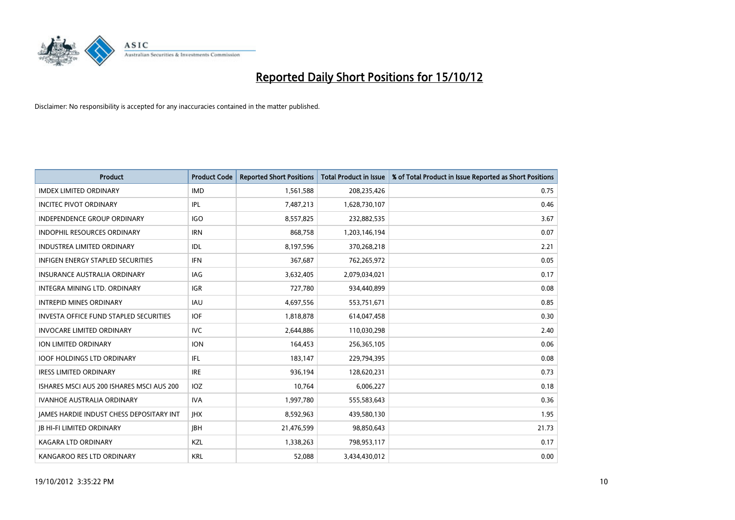

| <b>Product</b>                                  | <b>Product Code</b> | <b>Reported Short Positions</b> | <b>Total Product in Issue</b> | % of Total Product in Issue Reported as Short Positions |
|-------------------------------------------------|---------------------|---------------------------------|-------------------------------|---------------------------------------------------------|
| <b>IMDEX LIMITED ORDINARY</b>                   | <b>IMD</b>          | 1,561,588                       | 208,235,426                   | 0.75                                                    |
| <b>INCITEC PIVOT ORDINARY</b>                   | <b>IPL</b>          | 7,487,213                       | 1,628,730,107                 | 0.46                                                    |
| <b>INDEPENDENCE GROUP ORDINARY</b>              | <b>IGO</b>          | 8,557,825                       | 232,882,535                   | 3.67                                                    |
| INDOPHIL RESOURCES ORDINARY                     | <b>IRN</b>          | 868,758                         | 1,203,146,194                 | 0.07                                                    |
| <b>INDUSTREA LIMITED ORDINARY</b>               | <b>IDL</b>          | 8,197,596                       | 370,268,218                   | 2.21                                                    |
| <b>INFIGEN ENERGY STAPLED SECURITIES</b>        | <b>IFN</b>          | 367,687                         | 762,265,972                   | 0.05                                                    |
| <b>INSURANCE AUSTRALIA ORDINARY</b>             | IAG                 | 3,632,405                       | 2,079,034,021                 | 0.17                                                    |
| <b>INTEGRA MINING LTD, ORDINARY</b>             | <b>IGR</b>          | 727,780                         | 934,440,899                   | 0.08                                                    |
| <b>INTREPID MINES ORDINARY</b>                  | <b>IAU</b>          | 4,697,556                       | 553,751,671                   | 0.85                                                    |
| <b>INVESTA OFFICE FUND STAPLED SECURITIES</b>   | <b>IOF</b>          | 1,818,878                       | 614,047,458                   | 0.30                                                    |
| <b>INVOCARE LIMITED ORDINARY</b>                | <b>IVC</b>          | 2,644,886                       | 110,030,298                   | 2.40                                                    |
| ION LIMITED ORDINARY                            | <b>ION</b>          | 164,453                         | 256,365,105                   | 0.06                                                    |
| <b>IOOF HOLDINGS LTD ORDINARY</b>               | <b>IFL</b>          | 183,147                         | 229,794,395                   | 0.08                                                    |
| <b>IRESS LIMITED ORDINARY</b>                   | <b>IRE</b>          | 936.194                         | 128,620,231                   | 0.73                                                    |
| ISHARES MSCI AUS 200 ISHARES MSCI AUS 200       | <b>IOZ</b>          | 10,764                          | 6,006,227                     | 0.18                                                    |
| <b>IVANHOE AUSTRALIA ORDINARY</b>               | <b>IVA</b>          | 1,997,780                       | 555,583,643                   | 0.36                                                    |
| <b>JAMES HARDIE INDUST CHESS DEPOSITARY INT</b> | <b>IHX</b>          | 8,592,963                       | 439,580,130                   | 1.95                                                    |
| <b>JB HI-FI LIMITED ORDINARY</b>                | <b>IBH</b>          | 21,476,599                      | 98,850,643                    | 21.73                                                   |
| <b>KAGARA LTD ORDINARY</b>                      | <b>KZL</b>          | 1,338,263                       | 798,953,117                   | 0.17                                                    |
| KANGAROO RES LTD ORDINARY                       | <b>KRL</b>          | 52.088                          | 3,434,430,012                 | 0.00                                                    |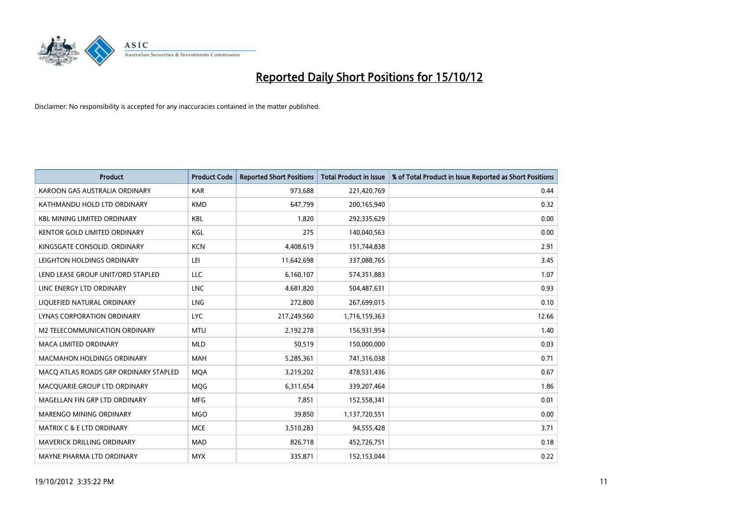

| <b>Product</b>                        | <b>Product Code</b> | <b>Reported Short Positions</b> | <b>Total Product in Issue</b> | % of Total Product in Issue Reported as Short Positions |
|---------------------------------------|---------------------|---------------------------------|-------------------------------|---------------------------------------------------------|
| KAROON GAS AUSTRALIA ORDINARY         | <b>KAR</b>          | 973,688                         | 221,420,769                   | 0.44                                                    |
| KATHMANDU HOLD LTD ORDINARY           | <b>KMD</b>          | 647,799                         | 200,165,940                   | 0.32                                                    |
| <b>KBL MINING LIMITED ORDINARY</b>    | <b>KBL</b>          | 1,820                           | 292,335,629                   | 0.00                                                    |
| KENTOR GOLD LIMITED ORDINARY          | KGL                 | 275                             | 140,040,563                   | 0.00                                                    |
| KINGSGATE CONSOLID, ORDINARY          | <b>KCN</b>          | 4,408,619                       | 151,744,838                   | 2.91                                                    |
| LEIGHTON HOLDINGS ORDINARY            | LEI                 | 11,642,698                      | 337,088,765                   | 3.45                                                    |
| LEND LEASE GROUP UNIT/ORD STAPLED     | LLC                 | 6,160,107                       | 574,351,883                   | 1.07                                                    |
| LINC ENERGY LTD ORDINARY              | <b>LNC</b>          | 4,681,820                       | 504,487,631                   | 0.93                                                    |
| LIQUEFIED NATURAL ORDINARY            | <b>LNG</b>          | 272,800                         | 267,699,015                   | 0.10                                                    |
| <b>LYNAS CORPORATION ORDINARY</b>     | <b>LYC</b>          | 217,249,560                     | 1,716,159,363                 | 12.66                                                   |
| M2 TELECOMMUNICATION ORDINARY         | <b>MTU</b>          | 2,192,278                       | 156,931,954                   | 1.40                                                    |
| <b>MACA LIMITED ORDINARY</b>          | <b>MLD</b>          | 50,519                          | 150,000,000                   | 0.03                                                    |
| <b>MACMAHON HOLDINGS ORDINARY</b>     | <b>MAH</b>          | 5,285,361                       | 741,316,038                   | 0.71                                                    |
| MACQ ATLAS ROADS GRP ORDINARY STAPLED | <b>MQA</b>          | 3,219,202                       | 478,531,436                   | 0.67                                                    |
| MACQUARIE GROUP LTD ORDINARY          | MQG                 | 6,311,654                       | 339,207,464                   | 1.86                                                    |
| MAGELLAN FIN GRP LTD ORDINARY         | <b>MFG</b>          | 7,851                           | 152,558,341                   | 0.01                                                    |
| <b>MARENGO MINING ORDINARY</b>        | <b>MGO</b>          | 39,850                          | 1,137,720,551                 | 0.00                                                    |
| MATRIX C & E LTD ORDINARY             | <b>MCE</b>          | 3,510,283                       | 94,555,428                    | 3.71                                                    |
| <b>MAVERICK DRILLING ORDINARY</b>     | <b>MAD</b>          | 826,718                         | 452,726,751                   | 0.18                                                    |
| MAYNE PHARMA LTD ORDINARY             | <b>MYX</b>          | 335,871                         | 152,153,044                   | 0.22                                                    |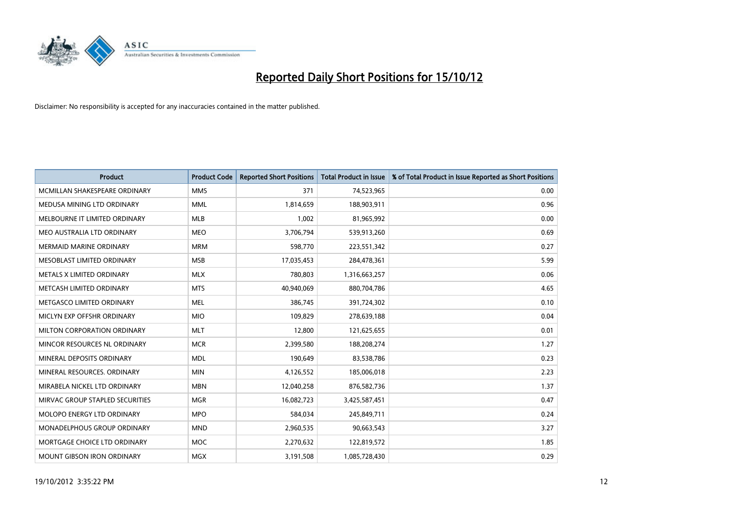

| <b>Product</b>                  | <b>Product Code</b> | <b>Reported Short Positions</b> | <b>Total Product in Issue</b> | % of Total Product in Issue Reported as Short Positions |
|---------------------------------|---------------------|---------------------------------|-------------------------------|---------------------------------------------------------|
| MCMILLAN SHAKESPEARE ORDINARY   | <b>MMS</b>          | 371                             | 74,523,965                    | 0.00                                                    |
| MEDUSA MINING LTD ORDINARY      | <b>MML</b>          | 1,814,659                       | 188,903,911                   | 0.96                                                    |
| MELBOURNE IT LIMITED ORDINARY   | <b>MLB</b>          | 1,002                           | 81,965,992                    | 0.00                                                    |
| MEO AUSTRALIA LTD ORDINARY      | <b>MEO</b>          | 3,706,794                       | 539,913,260                   | 0.69                                                    |
| <b>MERMAID MARINE ORDINARY</b>  | <b>MRM</b>          | 598,770                         | 223,551,342                   | 0.27                                                    |
| MESOBLAST LIMITED ORDINARY      | <b>MSB</b>          | 17,035,453                      | 284,478,361                   | 5.99                                                    |
| METALS X LIMITED ORDINARY       | <b>MLX</b>          | 780,803                         | 1,316,663,257                 | 0.06                                                    |
| METCASH LIMITED ORDINARY        | <b>MTS</b>          | 40,940,069                      | 880,704,786                   | 4.65                                                    |
| METGASCO LIMITED ORDINARY       | <b>MEL</b>          | 386,745                         | 391,724,302                   | 0.10                                                    |
| MICLYN EXP OFFSHR ORDINARY      | <b>MIO</b>          | 109,829                         | 278,639,188                   | 0.04                                                    |
| MILTON CORPORATION ORDINARY     | <b>MLT</b>          | 12,800                          | 121,625,655                   | 0.01                                                    |
| MINCOR RESOURCES NL ORDINARY    | <b>MCR</b>          | 2,399,580                       | 188,208,274                   | 1.27                                                    |
| MINERAL DEPOSITS ORDINARY       | <b>MDL</b>          | 190,649                         | 83,538,786                    | 0.23                                                    |
| MINERAL RESOURCES, ORDINARY     | <b>MIN</b>          | 4,126,552                       | 185,006,018                   | 2.23                                                    |
| MIRABELA NICKEL LTD ORDINARY    | <b>MBN</b>          | 12,040,258                      | 876,582,736                   | 1.37                                                    |
| MIRVAC GROUP STAPLED SECURITIES | <b>MGR</b>          | 16,082,723                      | 3,425,587,451                 | 0.47                                                    |
| MOLOPO ENERGY LTD ORDINARY      | <b>MPO</b>          | 584,034                         | 245,849,711                   | 0.24                                                    |
| MONADELPHOUS GROUP ORDINARY     | <b>MND</b>          | 2,960,535                       | 90,663,543                    | 3.27                                                    |
| MORTGAGE CHOICE LTD ORDINARY    | <b>MOC</b>          | 2,270,632                       | 122,819,572                   | 1.85                                                    |
| MOUNT GIBSON IRON ORDINARY      | <b>MGX</b>          | 3,191,508                       | 1,085,728,430                 | 0.29                                                    |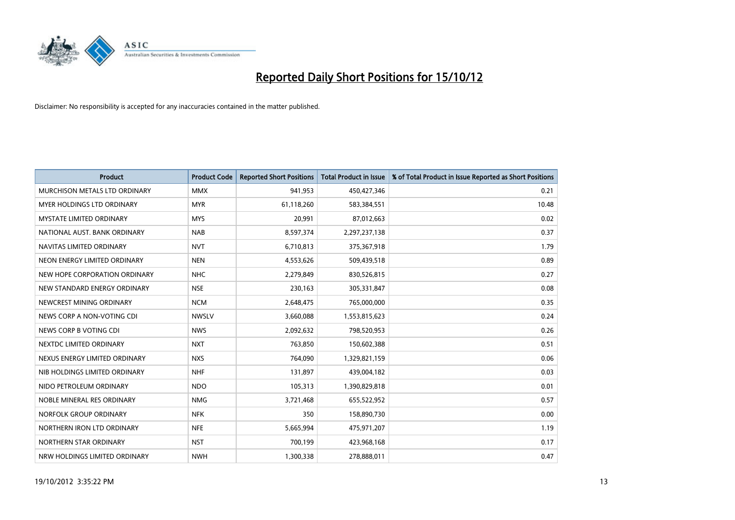

| <b>Product</b>                       | <b>Product Code</b> | <b>Reported Short Positions</b> | Total Product in Issue | % of Total Product in Issue Reported as Short Positions |
|--------------------------------------|---------------------|---------------------------------|------------------------|---------------------------------------------------------|
| <b>MURCHISON METALS LTD ORDINARY</b> | <b>MMX</b>          | 941.953                         | 450,427,346            | 0.21                                                    |
| <b>MYER HOLDINGS LTD ORDINARY</b>    | <b>MYR</b>          | 61,118,260                      | 583,384,551            | 10.48                                                   |
| <b>MYSTATE LIMITED ORDINARY</b>      | <b>MYS</b>          | 20,991                          | 87,012,663             | 0.02                                                    |
| NATIONAL AUST. BANK ORDINARY         | <b>NAB</b>          | 8,597,374                       | 2,297,237,138          | 0.37                                                    |
| NAVITAS LIMITED ORDINARY             | <b>NVT</b>          | 6,710,813                       | 375,367,918            | 1.79                                                    |
| NEON ENERGY LIMITED ORDINARY         | <b>NEN</b>          | 4,553,626                       | 509,439,518            | 0.89                                                    |
| NEW HOPE CORPORATION ORDINARY        | <b>NHC</b>          | 2,279,849                       | 830,526,815            | 0.27                                                    |
| NEW STANDARD ENERGY ORDINARY         | <b>NSE</b>          | 230,163                         | 305,331,847            | 0.08                                                    |
| NEWCREST MINING ORDINARY             | <b>NCM</b>          | 2,648,475                       | 765,000,000            | 0.35                                                    |
| NEWS CORP A NON-VOTING CDI           | <b>NWSLV</b>        | 3,660,088                       | 1,553,815,623          | 0.24                                                    |
| NEWS CORP B VOTING CDI               | <b>NWS</b>          | 2,092,632                       | 798,520,953            | 0.26                                                    |
| NEXTDC LIMITED ORDINARY              | <b>NXT</b>          | 763,850                         | 150,602,388            | 0.51                                                    |
| NEXUS ENERGY LIMITED ORDINARY        | <b>NXS</b>          | 764,090                         | 1,329,821,159          | 0.06                                                    |
| NIB HOLDINGS LIMITED ORDINARY        | <b>NHF</b>          | 131,897                         | 439,004,182            | 0.03                                                    |
| NIDO PETROLEUM ORDINARY              | <b>NDO</b>          | 105,313                         | 1,390,829,818          | 0.01                                                    |
| NOBLE MINERAL RES ORDINARY           | <b>NMG</b>          | 3,721,468                       | 655,522,952            | 0.57                                                    |
| NORFOLK GROUP ORDINARY               | <b>NFK</b>          | 350                             | 158,890,730            | 0.00                                                    |
| NORTHERN IRON LTD ORDINARY           | <b>NFE</b>          | 5,665,994                       | 475,971,207            | 1.19                                                    |
| NORTHERN STAR ORDINARY               | <b>NST</b>          | 700,199                         | 423,968,168            | 0.17                                                    |
| NRW HOLDINGS LIMITED ORDINARY        | <b>NWH</b>          | 1,300,338                       | 278,888,011            | 0.47                                                    |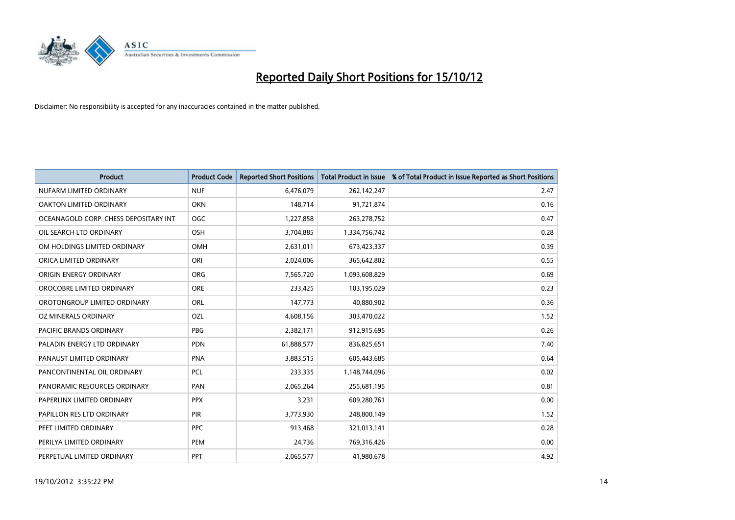

| <b>Product</b>                        | <b>Product Code</b> | <b>Reported Short Positions</b> | <b>Total Product in Issue</b> | % of Total Product in Issue Reported as Short Positions |
|---------------------------------------|---------------------|---------------------------------|-------------------------------|---------------------------------------------------------|
| NUFARM LIMITED ORDINARY               | <b>NUF</b>          | 6,476,079                       | 262,142,247                   | 2.47                                                    |
| OAKTON LIMITED ORDINARY               | <b>OKN</b>          | 148,714                         | 91,721,874                    | 0.16                                                    |
| OCEANAGOLD CORP. CHESS DEPOSITARY INT | <b>OGC</b>          | 1,227,858                       | 263,278,752                   | 0.47                                                    |
| OIL SEARCH LTD ORDINARY               | OSH                 | 3,704,885                       | 1,334,756,742                 | 0.28                                                    |
| OM HOLDINGS LIMITED ORDINARY          | <b>OMH</b>          | 2,631,011                       | 673,423,337                   | 0.39                                                    |
| ORICA LIMITED ORDINARY                | ORI                 | 2,024,006                       | 365,642,802                   | 0.55                                                    |
| ORIGIN ENERGY ORDINARY                | <b>ORG</b>          | 7,565,720                       | 1,093,608,829                 | 0.69                                                    |
| OROCOBRE LIMITED ORDINARY             | <b>ORE</b>          | 233,425                         | 103,195,029                   | 0.23                                                    |
| OROTONGROUP LIMITED ORDINARY          | ORL                 | 147,773                         | 40,880,902                    | 0.36                                                    |
| OZ MINERALS ORDINARY                  | OZL                 | 4,608,156                       | 303,470,022                   | 1.52                                                    |
| <b>PACIFIC BRANDS ORDINARY</b>        | <b>PBG</b>          | 2,382,171                       | 912,915,695                   | 0.26                                                    |
| PALADIN ENERGY LTD ORDINARY           | <b>PDN</b>          | 61,888,577                      | 836,825,651                   | 7.40                                                    |
| PANAUST LIMITED ORDINARY              | <b>PNA</b>          | 3,883,515                       | 605,443,685                   | 0.64                                                    |
| PANCONTINENTAL OIL ORDINARY           | <b>PCL</b>          | 233,335                         | 1,148,744,096                 | 0.02                                                    |
| PANORAMIC RESOURCES ORDINARY          | PAN                 | 2,065,264                       | 255,681,195                   | 0.81                                                    |
| PAPERLINX LIMITED ORDINARY            | <b>PPX</b>          | 3,231                           | 609,280,761                   | 0.00                                                    |
| PAPILLON RES LTD ORDINARY             | PIR                 | 3,773,930                       | 248,800,149                   | 1.52                                                    |
| PEET LIMITED ORDINARY                 | <b>PPC</b>          | 913,468                         | 321,013,141                   | 0.28                                                    |
| PERILYA LIMITED ORDINARY              | PEM                 | 24,736                          | 769,316,426                   | 0.00                                                    |
| PERPETUAL LIMITED ORDINARY            | PPT                 | 2,065,577                       | 41,980,678                    | 4.92                                                    |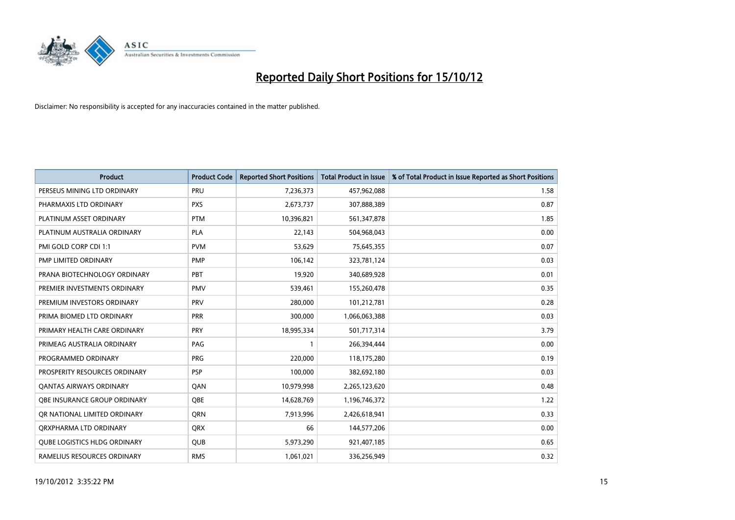

| <b>Product</b>                      | <b>Product Code</b> | <b>Reported Short Positions</b> | <b>Total Product in Issue</b> | % of Total Product in Issue Reported as Short Positions |
|-------------------------------------|---------------------|---------------------------------|-------------------------------|---------------------------------------------------------|
| PERSEUS MINING LTD ORDINARY         | PRU                 | 7,236,373                       | 457,962,088                   | 1.58                                                    |
| PHARMAXIS LTD ORDINARY              | <b>PXS</b>          | 2,673,737                       | 307,888,389                   | 0.87                                                    |
| PLATINUM ASSET ORDINARY             | <b>PTM</b>          | 10,396,821                      | 561,347,878                   | 1.85                                                    |
| PLATINUM AUSTRALIA ORDINARY         | <b>PLA</b>          | 22,143                          | 504,968,043                   | 0.00                                                    |
| PMI GOLD CORP CDI 1:1               | <b>PVM</b>          | 53,629                          | 75,645,355                    | 0.07                                                    |
| PMP LIMITED ORDINARY                | <b>PMP</b>          | 106,142                         | 323,781,124                   | 0.03                                                    |
| PRANA BIOTECHNOLOGY ORDINARY        | PBT                 | 19,920                          | 340,689,928                   | 0.01                                                    |
| PREMIER INVESTMENTS ORDINARY        | <b>PMV</b>          | 539,461                         | 155,260,478                   | 0.35                                                    |
| PREMIUM INVESTORS ORDINARY          | PRV                 | 280,000                         | 101,212,781                   | 0.28                                                    |
| PRIMA BIOMED LTD ORDINARY           | <b>PRR</b>          | 300,000                         | 1,066,063,388                 | 0.03                                                    |
| PRIMARY HEALTH CARE ORDINARY        | <b>PRY</b>          | 18,995,334                      | 501,717,314                   | 3.79                                                    |
| PRIMEAG AUSTRALIA ORDINARY          | <b>PAG</b>          |                                 | 266,394,444                   | 0.00                                                    |
| PROGRAMMED ORDINARY                 | PRG                 | 220,000                         | 118,175,280                   | 0.19                                                    |
| PROSPERITY RESOURCES ORDINARY       | <b>PSP</b>          | 100,000                         | 382,692,180                   | 0.03                                                    |
| <b>QANTAS AIRWAYS ORDINARY</b>      | QAN                 | 10,979,998                      | 2,265,123,620                 | 0.48                                                    |
| <b>OBE INSURANCE GROUP ORDINARY</b> | <b>OBE</b>          | 14,628,769                      | 1,196,746,372                 | 1.22                                                    |
| OR NATIONAL LIMITED ORDINARY        | <b>ORN</b>          | 7,913,996                       | 2,426,618,941                 | 0.33                                                    |
| ORXPHARMA LTD ORDINARY              | <b>QRX</b>          | 66                              | 144,577,206                   | 0.00                                                    |
| <b>OUBE LOGISTICS HLDG ORDINARY</b> | <b>OUB</b>          | 5,973,290                       | 921,407,185                   | 0.65                                                    |
| RAMELIUS RESOURCES ORDINARY         | <b>RMS</b>          | 1,061,021                       | 336,256,949                   | 0.32                                                    |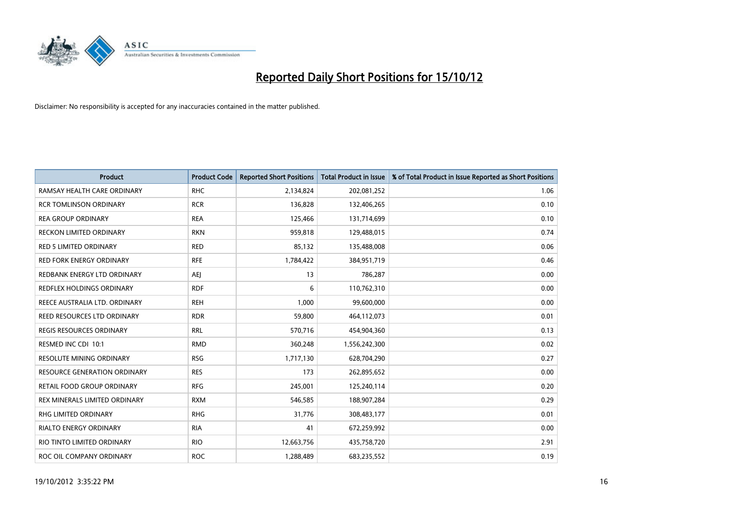

| <b>Product</b>                      | <b>Product Code</b> | <b>Reported Short Positions</b> | <b>Total Product in Issue</b> | % of Total Product in Issue Reported as Short Positions |
|-------------------------------------|---------------------|---------------------------------|-------------------------------|---------------------------------------------------------|
| RAMSAY HEALTH CARE ORDINARY         | <b>RHC</b>          | 2,134,824                       | 202,081,252                   | 1.06                                                    |
| <b>RCR TOMLINSON ORDINARY</b>       | <b>RCR</b>          | 136,828                         | 132,406,265                   | 0.10                                                    |
| <b>REA GROUP ORDINARY</b>           | <b>REA</b>          | 125,466                         | 131,714,699                   | 0.10                                                    |
| RECKON LIMITED ORDINARY             | <b>RKN</b>          | 959,818                         | 129,488,015                   | 0.74                                                    |
| <b>RED 5 LIMITED ORDINARY</b>       | <b>RED</b>          | 85,132                          | 135,488,008                   | 0.06                                                    |
| <b>RED FORK ENERGY ORDINARY</b>     | <b>RFE</b>          | 1,784,422                       | 384,951,719                   | 0.46                                                    |
| REDBANK ENERGY LTD ORDINARY         | AEJ                 | 13                              | 786,287                       | 0.00                                                    |
| <b>REDFLEX HOLDINGS ORDINARY</b>    | <b>RDF</b>          | 6                               | 110,762,310                   | 0.00                                                    |
| REECE AUSTRALIA LTD. ORDINARY       | <b>REH</b>          | 1,000                           | 99,600,000                    | 0.00                                                    |
| REED RESOURCES LTD ORDINARY         | <b>RDR</b>          | 59,800                          | 464,112,073                   | 0.01                                                    |
| REGIS RESOURCES ORDINARY            | <b>RRL</b>          | 570,716                         | 454,904,360                   | 0.13                                                    |
| RESMED INC CDI 10:1                 | <b>RMD</b>          | 360,248                         | 1,556,242,300                 | 0.02                                                    |
| RESOLUTE MINING ORDINARY            | <b>RSG</b>          | 1,717,130                       | 628,704,290                   | 0.27                                                    |
| <b>RESOURCE GENERATION ORDINARY</b> | <b>RES</b>          | 173                             | 262,895,652                   | 0.00                                                    |
| RETAIL FOOD GROUP ORDINARY          | <b>RFG</b>          | 245,001                         | 125,240,114                   | 0.20                                                    |
| REX MINERALS LIMITED ORDINARY       | <b>RXM</b>          | 546,585                         | 188,907,284                   | 0.29                                                    |
| <b>RHG LIMITED ORDINARY</b>         | <b>RHG</b>          | 31,776                          | 308,483,177                   | 0.01                                                    |
| RIALTO ENERGY ORDINARY              | <b>RIA</b>          | 41                              | 672,259,992                   | 0.00                                                    |
| RIO TINTO LIMITED ORDINARY          | <b>RIO</b>          | 12,663,756                      | 435,758,720                   | 2.91                                                    |
| ROC OIL COMPANY ORDINARY            | <b>ROC</b>          | 1,288,489                       | 683,235,552                   | 0.19                                                    |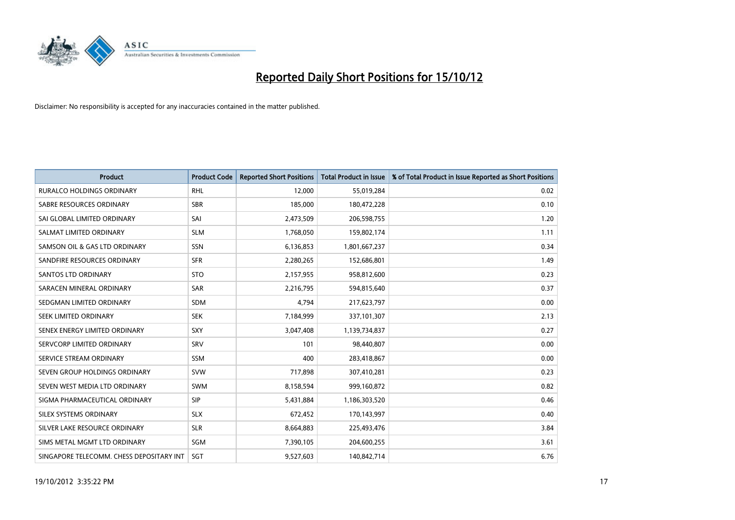

| <b>Product</b>                           | <b>Product Code</b> | <b>Reported Short Positions</b> | <b>Total Product in Issue</b> | % of Total Product in Issue Reported as Short Positions |
|------------------------------------------|---------------------|---------------------------------|-------------------------------|---------------------------------------------------------|
| <b>RURALCO HOLDINGS ORDINARY</b>         | <b>RHL</b>          | 12,000                          | 55,019,284                    | 0.02                                                    |
| SABRE RESOURCES ORDINARY                 | <b>SBR</b>          | 185,000                         | 180,472,228                   | 0.10                                                    |
| SAI GLOBAL LIMITED ORDINARY              | SAI                 | 2,473,509                       | 206,598,755                   | 1.20                                                    |
| SALMAT LIMITED ORDINARY                  | <b>SLM</b>          | 1,768,050                       | 159,802,174                   | 1.11                                                    |
| SAMSON OIL & GAS LTD ORDINARY            | SSN                 | 6,136,853                       | 1,801,667,237                 | 0.34                                                    |
| SANDFIRE RESOURCES ORDINARY              | <b>SFR</b>          | 2,280,265                       | 152,686,801                   | 1.49                                                    |
| <b>SANTOS LTD ORDINARY</b>               | <b>STO</b>          | 2,157,955                       | 958,812,600                   | 0.23                                                    |
| SARACEN MINERAL ORDINARY                 | <b>SAR</b>          | 2,216,795                       | 594,815,640                   | 0.37                                                    |
| SEDGMAN LIMITED ORDINARY                 | <b>SDM</b>          | 4,794                           | 217,623,797                   | 0.00                                                    |
| SEEK LIMITED ORDINARY                    | <b>SEK</b>          | 7,184,999                       | 337,101,307                   | 2.13                                                    |
| SENEX ENERGY LIMITED ORDINARY            | <b>SXY</b>          | 3,047,408                       | 1,139,734,837                 | 0.27                                                    |
| SERVCORP LIMITED ORDINARY                | SRV                 | 101                             | 98,440,807                    | 0.00                                                    |
| SERVICE STREAM ORDINARY                  | <b>SSM</b>          | 400                             | 283,418,867                   | 0.00                                                    |
| SEVEN GROUP HOLDINGS ORDINARY            | <b>SVW</b>          | 717,898                         | 307,410,281                   | 0.23                                                    |
| SEVEN WEST MEDIA LTD ORDINARY            | <b>SWM</b>          | 8,158,594                       | 999,160,872                   | 0.82                                                    |
| SIGMA PHARMACEUTICAL ORDINARY            | <b>SIP</b>          | 5,431,884                       | 1,186,303,520                 | 0.46                                                    |
| <b>SILEX SYSTEMS ORDINARY</b>            | <b>SLX</b>          | 672,452                         | 170,143,997                   | 0.40                                                    |
| SILVER LAKE RESOURCE ORDINARY            | <b>SLR</b>          | 8,664,883                       | 225,493,476                   | 3.84                                                    |
| SIMS METAL MGMT LTD ORDINARY             | <b>SGM</b>          | 7,390,105                       | 204,600,255                   | 3.61                                                    |
| SINGAPORE TELECOMM. CHESS DEPOSITARY INT | SGT                 | 9,527,603                       | 140,842,714                   | 6.76                                                    |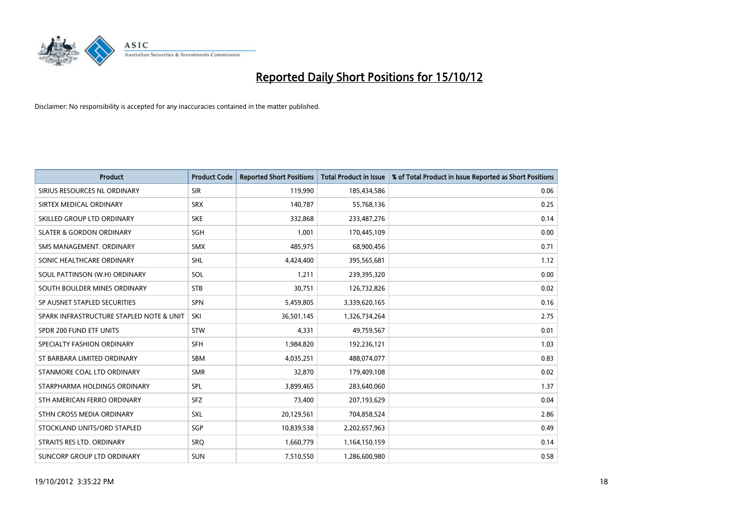

| <b>Product</b>                           | <b>Product Code</b> | <b>Reported Short Positions</b> | <b>Total Product in Issue</b> | % of Total Product in Issue Reported as Short Positions |
|------------------------------------------|---------------------|---------------------------------|-------------------------------|---------------------------------------------------------|
| SIRIUS RESOURCES NL ORDINARY             | <b>SIR</b>          | 119,990                         | 185,434,586                   | 0.06                                                    |
| SIRTEX MEDICAL ORDINARY                  | <b>SRX</b>          | 140,787                         | 55,768,136                    | 0.25                                                    |
| SKILLED GROUP LTD ORDINARY               | <b>SKE</b>          | 332,868                         | 233,487,276                   | 0.14                                                    |
| <b>SLATER &amp; GORDON ORDINARY</b>      | SGH                 | 1,001                           | 170,445,109                   | 0.00                                                    |
| SMS MANAGEMENT, ORDINARY                 | <b>SMX</b>          | 485,975                         | 68,900,456                    | 0.71                                                    |
| SONIC HEALTHCARE ORDINARY                | <b>SHL</b>          | 4,424,400                       | 395,565,681                   | 1.12                                                    |
| SOUL PATTINSON (W.H) ORDINARY            | SOL                 | 1,211                           | 239,395,320                   | 0.00                                                    |
| SOUTH BOULDER MINES ORDINARY             | <b>STB</b>          | 30,751                          | 126,732,826                   | 0.02                                                    |
| SP AUSNET STAPLED SECURITIES             | <b>SPN</b>          | 5,459,805                       | 3,339,620,165                 | 0.16                                                    |
| SPARK INFRASTRUCTURE STAPLED NOTE & UNIT | SKI                 | 36,501,145                      | 1,326,734,264                 | 2.75                                                    |
| SPDR 200 FUND ETF UNITS                  | <b>STW</b>          | 4,331                           | 49,759,567                    | 0.01                                                    |
| SPECIALTY FASHION ORDINARY               | <b>SFH</b>          | 1,984,820                       | 192,236,121                   | 1.03                                                    |
| ST BARBARA LIMITED ORDINARY              | <b>SBM</b>          | 4,035,251                       | 488,074,077                   | 0.83                                                    |
| STANMORE COAL LTD ORDINARY               | <b>SMR</b>          | 32,870                          | 179,409,108                   | 0.02                                                    |
| STARPHARMA HOLDINGS ORDINARY             | SPL                 | 3,899,465                       | 283,640,060                   | 1.37                                                    |
| STH AMERICAN FERRO ORDINARY              | <b>SFZ</b>          | 73,400                          | 207,193,629                   | 0.04                                                    |
| STHN CROSS MEDIA ORDINARY                | <b>SXL</b>          | 20,129,561                      | 704,858,524                   | 2.86                                                    |
| STOCKLAND UNITS/ORD STAPLED              | SGP                 | 10,839,538                      | 2,202,657,963                 | 0.49                                                    |
| STRAITS RES LTD. ORDINARY                | SRO                 | 1,660,779                       | 1,164,150,159                 | 0.14                                                    |
| SUNCORP GROUP LTD ORDINARY               | <b>SUN</b>          | 7,510,550                       | 1,286,600,980                 | 0.58                                                    |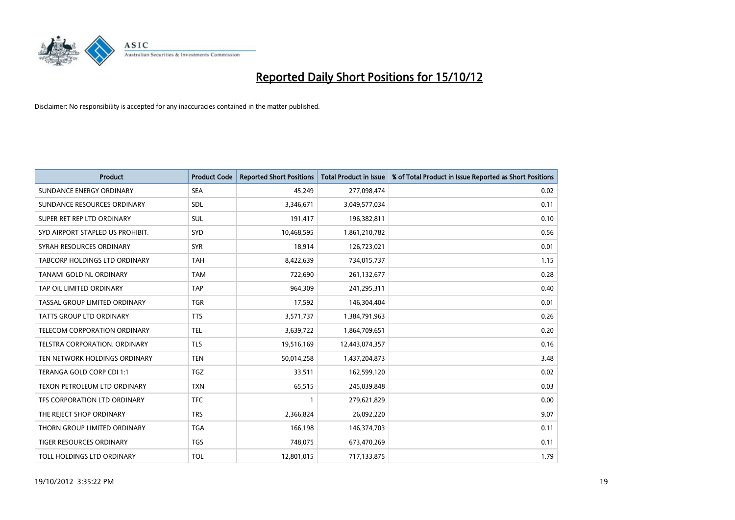

| <b>Product</b>                       | <b>Product Code</b> | <b>Reported Short Positions</b> | <b>Total Product in Issue</b> | % of Total Product in Issue Reported as Short Positions |
|--------------------------------------|---------------------|---------------------------------|-------------------------------|---------------------------------------------------------|
| SUNDANCE ENERGY ORDINARY             | <b>SEA</b>          | 45,249                          | 277,098,474                   | 0.02                                                    |
| SUNDANCE RESOURCES ORDINARY          | <b>SDL</b>          | 3,346,671                       | 3,049,577,034                 | 0.11                                                    |
| SUPER RET REP LTD ORDINARY           | <b>SUL</b>          | 191,417                         | 196,382,811                   | 0.10                                                    |
| SYD AIRPORT STAPLED US PROHIBIT.     | SYD                 | 10,468,595                      | 1,861,210,782                 | 0.56                                                    |
| SYRAH RESOURCES ORDINARY             | <b>SYR</b>          | 18,914                          | 126,723,021                   | 0.01                                                    |
| TABCORP HOLDINGS LTD ORDINARY        | <b>TAH</b>          | 8,422,639                       | 734,015,737                   | 1.15                                                    |
| TANAMI GOLD NL ORDINARY              | <b>TAM</b>          | 722,690                         | 261,132,677                   | 0.28                                                    |
| TAP OIL LIMITED ORDINARY             | <b>TAP</b>          | 964,309                         | 241,295,311                   | 0.40                                                    |
| TASSAL GROUP LIMITED ORDINARY        | <b>TGR</b>          | 17,592                          | 146,304,404                   | 0.01                                                    |
| <b>TATTS GROUP LTD ORDINARY</b>      | <b>TTS</b>          | 3,571,737                       | 1,384,791,963                 | 0.26                                                    |
| TELECOM CORPORATION ORDINARY         | <b>TEL</b>          | 3,639,722                       | 1,864,709,651                 | 0.20                                                    |
| <b>TELSTRA CORPORATION, ORDINARY</b> | <b>TLS</b>          | 19,516,169                      | 12,443,074,357                | 0.16                                                    |
| TEN NETWORK HOLDINGS ORDINARY        | <b>TEN</b>          | 50,014,258                      | 1,437,204,873                 | 3.48                                                    |
| TERANGA GOLD CORP CDI 1:1            | <b>TGZ</b>          | 33,511                          | 162,599,120                   | 0.02                                                    |
| TEXON PETROLEUM LTD ORDINARY         | <b>TXN</b>          | 65,515                          | 245,039,848                   | 0.03                                                    |
| TFS CORPORATION LTD ORDINARY         | <b>TFC</b>          |                                 | 279,621,829                   | 0.00                                                    |
| THE REJECT SHOP ORDINARY             | <b>TRS</b>          | 2,366,824                       | 26,092,220                    | 9.07                                                    |
| THORN GROUP LIMITED ORDINARY         | <b>TGA</b>          | 166,198                         | 146,374,703                   | 0.11                                                    |
| TIGER RESOURCES ORDINARY             | <b>TGS</b>          | 748,075                         | 673,470,269                   | 0.11                                                    |
| TOLL HOLDINGS LTD ORDINARY           | <b>TOL</b>          | 12,801,015                      | 717,133,875                   | 1.79                                                    |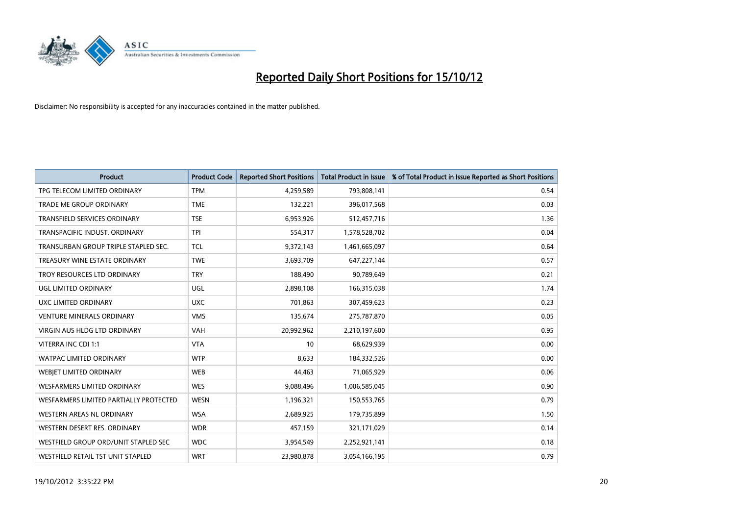

| <b>Product</b>                         | <b>Product Code</b> | <b>Reported Short Positions</b> | <b>Total Product in Issue</b> | % of Total Product in Issue Reported as Short Positions |
|----------------------------------------|---------------------|---------------------------------|-------------------------------|---------------------------------------------------------|
| TPG TELECOM LIMITED ORDINARY           | <b>TPM</b>          | 4,259,589                       | 793,808,141                   | 0.54                                                    |
| TRADE ME GROUP ORDINARY                | <b>TME</b>          | 132,221                         | 396,017,568                   | 0.03                                                    |
| <b>TRANSFIELD SERVICES ORDINARY</b>    | <b>TSE</b>          | 6,953,926                       | 512,457,716                   | 1.36                                                    |
| TRANSPACIFIC INDUST. ORDINARY          | <b>TPI</b>          | 554,317                         | 1,578,528,702                 | 0.04                                                    |
| TRANSURBAN GROUP TRIPLE STAPLED SEC.   | <b>TCL</b>          | 9,372,143                       | 1,461,665,097                 | 0.64                                                    |
| TREASURY WINE ESTATE ORDINARY          | <b>TWE</b>          | 3,693,709                       | 647,227,144                   | 0.57                                                    |
| TROY RESOURCES LTD ORDINARY            | <b>TRY</b>          | 188,490                         | 90,789,649                    | 0.21                                                    |
| UGL LIMITED ORDINARY                   | UGL                 | 2,898,108                       | 166,315,038                   | 1.74                                                    |
| UXC LIMITED ORDINARY                   | <b>UXC</b>          | 701.863                         | 307,459,623                   | 0.23                                                    |
| <b>VENTURE MINERALS ORDINARY</b>       | <b>VMS</b>          | 135,674                         | 275,787,870                   | 0.05                                                    |
| VIRGIN AUS HLDG LTD ORDINARY           | <b>VAH</b>          | 20,992,962                      | 2,210,197,600                 | 0.95                                                    |
| VITERRA INC CDI 1:1                    | <b>VTA</b>          | 10                              | 68,629,939                    | 0.00                                                    |
| WATPAC LIMITED ORDINARY                | <b>WTP</b>          | 8,633                           | 184,332,526                   | 0.00                                                    |
| WEBIET LIMITED ORDINARY                | <b>WEB</b>          | 44,463                          | 71,065,929                    | 0.06                                                    |
| <b>WESFARMERS LIMITED ORDINARY</b>     | <b>WES</b>          | 9,088,496                       | 1,006,585,045                 | 0.90                                                    |
| WESFARMERS LIMITED PARTIALLY PROTECTED | <b>WESN</b>         | 1,196,321                       | 150,553,765                   | 0.79                                                    |
| WESTERN AREAS NL ORDINARY              | <b>WSA</b>          | 2,689,925                       | 179,735,899                   | 1.50                                                    |
| WESTERN DESERT RES. ORDINARY           | <b>WDR</b>          | 457,159                         | 321,171,029                   | 0.14                                                    |
| WESTFIELD GROUP ORD/UNIT STAPLED SEC   | <b>WDC</b>          | 3,954,549                       | 2,252,921,141                 | 0.18                                                    |
| WESTFIELD RETAIL TST UNIT STAPLED      | <b>WRT</b>          | 23,980,878                      | 3,054,166,195                 | 0.79                                                    |